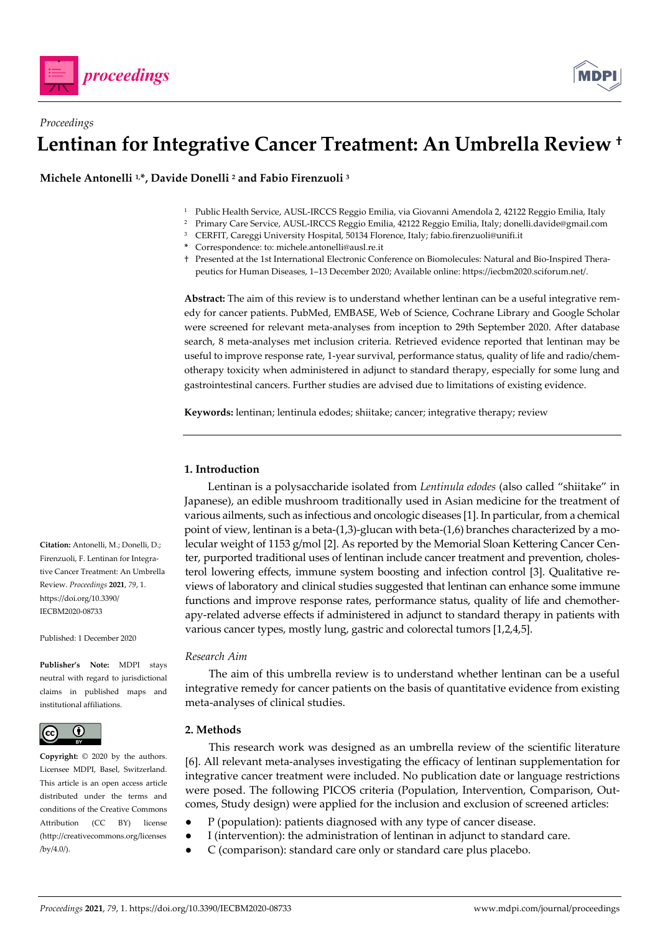



# *Proceedings* **Lentinan for Integrative Cancer Treatment: An Umbrella Review †**

**Michele Antonelli 1,\*, Davide Donelli 2 and Fabio Firenzuoli 3**

- 1 Public Health Service, AUSL-IRCCS Reggio Emilia, via Giovanni Amendola 2, 42122 Reggio Emilia, Italy
- 2 Primary Care Service, AUSL-IRCCS Reggio Emilia, 42122 Reggio Emilia, Italy; donelli.davide@gmail.com
- <sup>3</sup> CERFIT, Careggi University Hospital, 50134 Florence, Italy; fabio.firenzuoli@unifi.it
- **\*** Correspondence: to: michele.antonelli@ausl.re.it
- † Presented at the 1st International Electronic Conference on Biomolecules: Natural and Bio-Inspired Therapeutics for Human Diseases, 1–13 December 2020; Available online: https://iecbm2020.sciforum.net/.

**Abstract:** The aim of this review is to understand whether lentinan can be a useful integrative remedy for cancer patients. PubMed, EMBASE, Web of Science, Cochrane Library and Google Scholar were screened for relevant meta-analyses from inception to 29th September 2020. After database search, 8 meta-analyses met inclusion criteria. Retrieved evidence reported that lentinan may be useful to improve response rate, 1-year survival, performance status, quality of life and radio/chemotherapy toxicity when administered in adjunct to standard therapy, especially for some lung and gastrointestinal cancers. Further studies are advised due to limitations of existing evidence.

**Keywords:** lentinan; lentinula edodes; shiitake; cancer; integrative therapy; review

## **1. Introduction**

Lentinan is a polysaccharide isolated from *Lentinula edodes* (also called "shiitake" in Japanese), an edible mushroom traditionally used in Asian medicine for the treatment of various ailments, such as infectious and oncologic diseases [1]. In particular, from a chemical point of view, lentinan is a beta- $(1,3)$ -glucan with beta- $(1,6)$  branches characterized by a molecular weight of 1153 g/mol [2]. As reported by the Memorial Sloan Kettering Cancer Center, purported traditional uses of lentinan include cancer treatment and prevention, cholesterol lowering effects, immune system boosting and infection control [3]. Qualitative reviews of laboratory and clinical studies suggested that lentinan can enhance some immune functions and improve response rates, performance status, quality of life and chemotherapy-related adverse effects if administered in adjunct to standard therapy in patients with various cancer types, mostly lung, gastric and colorectal tumors [1,2,4,5].

## *Research Aim*

The aim of this umbrella review is to understand whether lentinan can be a useful integrative remedy for cancer patients on the basis of quantitative evidence from existing meta-analyses of clinical studies.

## **2. Methods**

This research work was designed as an umbrella review of the scientific literature [6]. All relevant meta-analyses investigating the efficacy of lentinan supplementation for integrative cancer treatment were included. No publication date or language restrictions were posed. The following PICOS criteria (Population, Intervention, Comparison, Outcomes, Study design) were applied for the inclusion and exclusion of screened articles:

- P (population): patients diagnosed with any type of cancer disease.
- I (intervention): the administration of lentinan in adjunct to standard care.
- C (comparison): standard care only or standard care plus placebo.

**Citation:** Antonelli, M.; Donelli, D.; Firenzuoli, F. Lentinan for Integrative Cancer Treatment: An Umbrella Review. *Proceedings* **2021**, *79*, 1. https://doi.org/10.3390/ IECBM2020-08733

Published: 1 December 2020

**Publisher's Note:** MDPI stays neutral with regard to jurisdictional claims in published maps and institutional affiliations.



**Copyright:** © 2020 by the authors. Licensee MDPI, Basel, Switzerland. This article is an open access article distributed under the terms and conditions of the Creative Commons Attribution (CC BY) license (http://creativecommons.org/licenses /by/4.0/).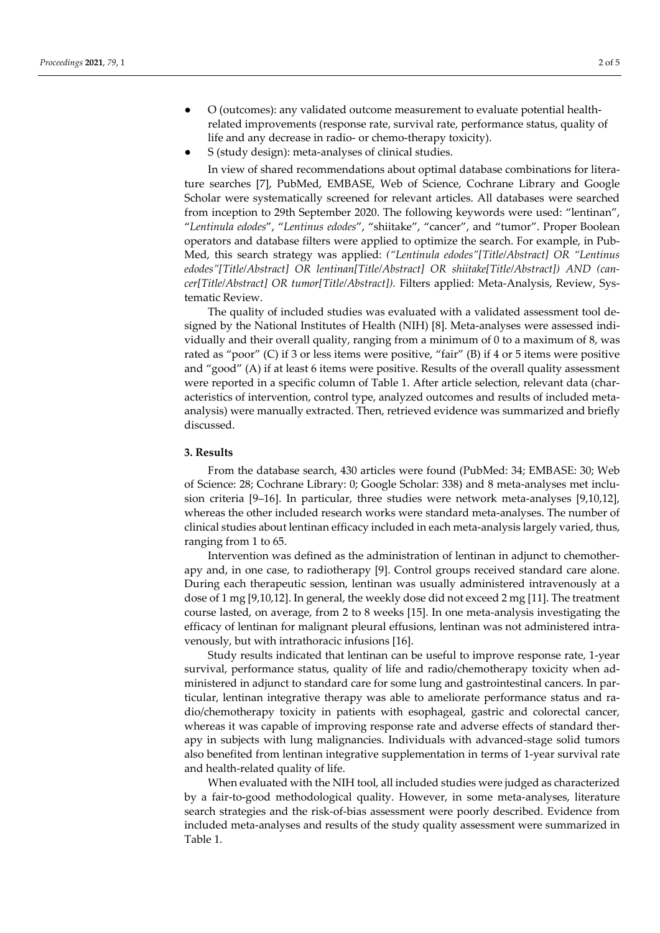- O (outcomes): any validated outcome measurement to evaluate potential healthrelated improvements (response rate, survival rate, performance status, quality of life and any decrease in radio- or chemo-therapy toxicity).
- S (study design): meta-analyses of clinical studies.

In view of shared recommendations about optimal database combinations for literature searches [7], PubMed, EMBASE, Web of Science, Cochrane Library and Google Scholar were systematically screened for relevant articles. All databases were searched from inception to 29th September 2020. The following keywords were used: "lentinan", "*Lentinula edodes*", "*Lentinus edodes*", "shiitake", "cancer", and "tumor". Proper Boolean operators and database filters were applied to optimize the search. For example, in Pub-Med, this search strategy was applied: *("Lentinula edodes"[Title/Abstract] OR "Lentinus edodes"[Title/Abstract] OR lentinan[Title/Abstract] OR shiitake[Title/Abstract]) AND (cancer[Title/Abstract] OR tumor[Title/Abstract]).* Filters applied: Meta-Analysis, Review, Systematic Review.

The quality of included studies was evaluated with a validated assessment tool designed by the National Institutes of Health (NIH) [8]. Meta-analyses were assessed individually and their overall quality, ranging from a minimum of 0 to a maximum of 8, was rated as "poor" (C) if 3 or less items were positive, "fair" (B) if 4 or 5 items were positive and "good" (A) if at least 6 items were positive. Results of the overall quality assessment were reported in a specific column of Table 1. After article selection, relevant data (characteristics of intervention, control type, analyzed outcomes and results of included metaanalysis) were manually extracted. Then, retrieved evidence was summarized and briefly discussed.

#### **3. Results**

From the database search, 430 articles were found (PubMed: 34; EMBASE: 30; Web of Science: 28; Cochrane Library: 0; Google Scholar: 338) and 8 meta-analyses met inclusion criteria [9–16]. In particular, three studies were network meta-analyses [9,10,12], whereas the other included research works were standard meta-analyses. The number of clinical studies about lentinan efficacy included in each meta-analysis largely varied, thus, ranging from 1 to 65.

Intervention was defined as the administration of lentinan in adjunct to chemotherapy and, in one case, to radiotherapy [9]. Control groups received standard care alone. During each therapeutic session, lentinan was usually administered intravenously at a dose of 1 mg [9,10,12]. In general, the weekly dose did not exceed 2 mg [11]. The treatment course lasted, on average, from 2 to 8 weeks [15]. In one meta-analysis investigating the efficacy of lentinan for malignant pleural effusions, lentinan was not administered intravenously, but with intrathoracic infusions [16].

Study results indicated that lentinan can be useful to improve response rate, 1-year survival, performance status, quality of life and radio/chemotherapy toxicity when administered in adjunct to standard care for some lung and gastrointestinal cancers. In particular, lentinan integrative therapy was able to ameliorate performance status and radio/chemotherapy toxicity in patients with esophageal, gastric and colorectal cancer, whereas it was capable of improving response rate and adverse effects of standard therapy in subjects with lung malignancies. Individuals with advanced-stage solid tumors also benefited from lentinan integrative supplementation in terms of 1-year survival rate and health-related quality of life.

When evaluated with the NIH tool, all included studies were judged as characterized by a fair-to-good methodological quality. However, in some meta-analyses, literature search strategies and the risk-of-bias assessment were poorly described. Evidence from included meta-analyses and results of the study quality assessment were summarized in Table 1.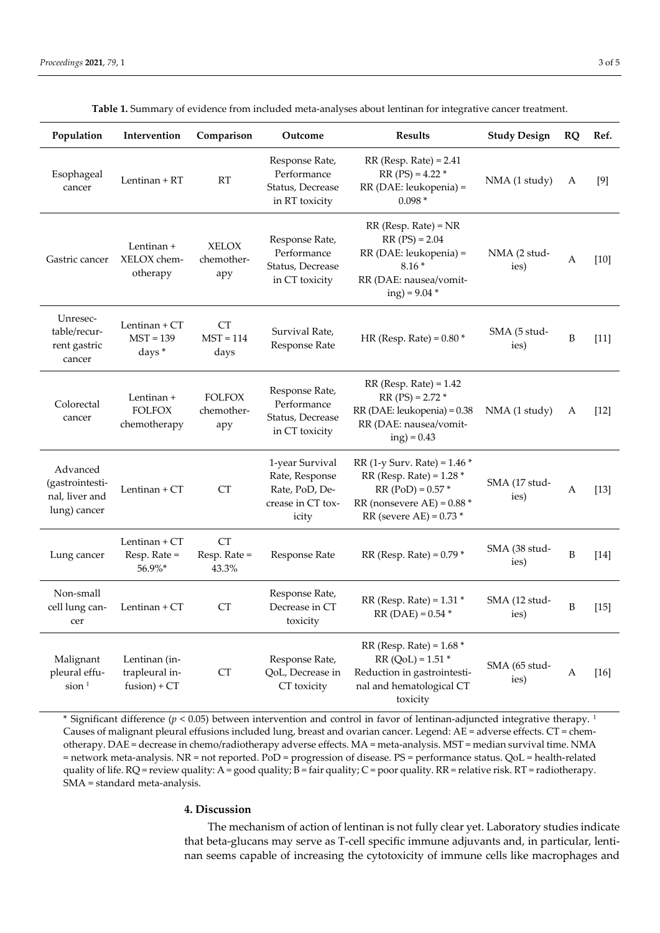| Population                                                    | Intervention                                      | Comparison                         | Outcome                                                                           | <b>Results</b>                                                                                                                                            | <b>Study Design</b>   | RQ           | Ref.   |
|---------------------------------------------------------------|---------------------------------------------------|------------------------------------|-----------------------------------------------------------------------------------|-----------------------------------------------------------------------------------------------------------------------------------------------------------|-----------------------|--------------|--------|
| Esophageal<br>cancer                                          | Lentinan + RT                                     | RT                                 | Response Rate,<br>Performance<br>Status, Decrease<br>in RT toxicity               | $RR$ (Resp. Rate) = 2.41<br>$RR (PS) = 4.22*$<br>RR (DAE: leukopenia) =<br>$0.098*$                                                                       | NMA (1 study)         | A            | [9]    |
| Gastric cancer                                                | Lentinan +<br>XELOX chem-<br>otherapy             | <b>XELOX</b><br>chemother-<br>apy  | Response Rate,<br>Performance<br>Status, Decrease<br>in CT toxicity               | $RR$ (Resp. Rate) = $NR$<br>$RR (PS) = 2.04$<br>RR (DAE: leukopenia) =<br>$8.16*$<br>RR (DAE: nausea/vomit-<br>$ing) = 9.04$ *                            | NMA (2 stud-<br>ies)  | A            | $[10]$ |
| Unresec-<br>table/recur-<br>rent gastric<br>cancer            | Lentinan + CT<br>$MST = 139$<br>days*             | <b>CT</b><br>$MST = 114$<br>days   | Survival Rate,<br>Response Rate                                                   | HR (Resp. Rate) = $0.80*$                                                                                                                                 | SMA (5 stud-<br>ies)  | $\, {\bf B}$ | $[11]$ |
| Colorectal<br>cancer                                          | Lentinan +<br><b>FOLFOX</b><br>chemotherapy       | <b>FOLFOX</b><br>chemother-<br>apy | Response Rate,<br>Performance<br>Status, Decrease<br>in CT toxicity               | $RR$ (Resp. Rate) = 1.42<br>$RR (PS) = 2.72*$<br>RR (DAE: leukopenia) = 0.38<br>RR (DAE: nausea/vomit-<br>$ing) = 0.43$                                   | NMA (1 study)         | A            | $[12]$ |
| Advanced<br>(gastrointesti-<br>nal, liver and<br>lung) cancer | Lentinan + CT                                     | CT                                 | 1-year Survival<br>Rate, Response<br>Rate, PoD, De-<br>crease in CT tox-<br>icity | $RR$ (1-y Surv. Rate) = 1.46 $*$<br>$RR$ (Resp. Rate) = 1.28 $*$<br>$RR (PoD) = 0.57$ *<br>RR (nonsevere $AE$ ) = 0.88 $*$<br>$RR$ (severe AE) = 0.73 $*$ | SMA (17 stud-<br>ies) | A            | $[13]$ |
| Lung cancer                                                   | Lentinan + CT<br>Resp. Rate =<br>56.9%*           | <b>CT</b><br>Resp. Rate =<br>43.3% | Response Rate                                                                     | $RR$ (Resp. Rate) = 0.79 $*$                                                                                                                              | SMA (38 stud-<br>ies) | $\, {\bf B}$ | $[14]$ |
| Non-small<br>cell lung can-<br>cer                            | Lentinan + CT                                     | <b>CT</b>                          | Response Rate,<br>Decrease in CT<br>toxicity                                      | $RR$ (Resp. Rate) = 1.31 $*$<br>$RR (DAE) = 0.54$ *                                                                                                       | SMA (12 stud-<br>ies) | B            | $[15]$ |
| Malignant<br>pleural effu-<br>$s$ ion $1$                     | Lentinan (in-<br>trapleural in-<br>$fusion) + CT$ | CT                                 | Response Rate,<br>QoL, Decrease in<br>CT toxicity                                 | RR (Resp. Rate) = $1.68*$<br>$RR (QoL) = 1.51$ *<br>Reduction in gastrointesti-<br>nal and hematological CT<br>toxicity                                   | SMA (65 stud-<br>ies) | A            | $[16]$ |

**Table 1.** Summary of evidence from included meta-analyses about lentinan for integrative cancer treatment.

\* Significant difference (*p* < 0.05) between intervention and control in favor of lentinan-adjuncted integrative therapy. 1 Causes of malignant pleural effusions included lung, breast and ovarian cancer. Legend: AE = adverse effects. CT = chemotherapy. DAE = decrease in chemo/radiotherapy adverse effects. MA = meta-analysis. MST = median survival time. NMA = network meta-analysis. NR = not reported. PoD = progression of disease. PS = performance status. QoL = health-related quality of life.  $RQ$  = review quality: A = good quality; B = fair quality; C = poor quality.  $RR$  = relative risk.  $RT$  = radiotherapy. SMA = standard meta-analysis.

#### **4. Discussion**

The mechanism of action of lentinan is not fully clear yet. Laboratory studies indicate that beta-glucans may serve as T-cell specific immune adjuvants and, in particular, lentinan seems capable of increasing the cytotoxicity of immune cells like macrophages and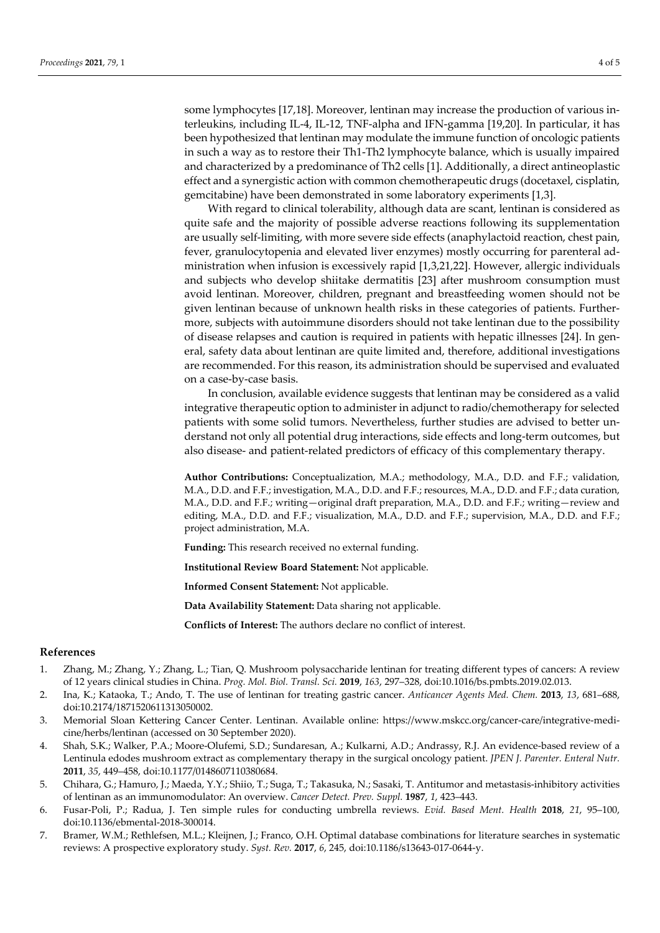some lymphocytes [17,18]. Moreover, lentinan may increase the production of various interleukins, including IL-4, IL-12, TNF-alpha and IFN-gamma [19,20]. In particular, it has been hypothesized that lentinan may modulate the immune function of oncologic patients in such a way as to restore their Th1-Th2 lymphocyte balance, which is usually impaired and characterized by a predominance of Th2 cells [1]. Additionally, a direct antineoplastic effect and a synergistic action with common chemotherapeutic drugs (docetaxel, cisplatin, gemcitabine) have been demonstrated in some laboratory experiments [1,3].

With regard to clinical tolerability, although data are scant, lentinan is considered as quite safe and the majority of possible adverse reactions following its supplementation are usually self-limiting, with more severe side effects (anaphylactoid reaction, chest pain, fever, granulocytopenia and elevated liver enzymes) mostly occurring for parenteral administration when infusion is excessively rapid [1,3,21,22]. However, allergic individuals and subjects who develop shiitake dermatitis [23] after mushroom consumption must avoid lentinan. Moreover, children, pregnant and breastfeeding women should not be given lentinan because of unknown health risks in these categories of patients. Furthermore, subjects with autoimmune disorders should not take lentinan due to the possibility of disease relapses and caution is required in patients with hepatic illnesses [24]. In general, safety data about lentinan are quite limited and, therefore, additional investigations are recommended. For this reason, its administration should be supervised and evaluated on a case-by-case basis.

In conclusion, available evidence suggests that lentinan may be considered as a valid integrative therapeutic option to administer in adjunct to radio/chemotherapy for selected patients with some solid tumors. Nevertheless, further studies are advised to better understand not only all potential drug interactions, side effects and long-term outcomes, but also disease- and patient-related predictors of efficacy of this complementary therapy.

**Author Contributions:** Conceptualization, M.A.; methodology, M.A., D.D. and F.F.; validation, M.A., D.D. and F.F.; investigation, M.A., D.D. and F.F.; resources, M.A., D.D. and F.F.; data curation, M.A., D.D. and F.F.; writing—original draft preparation, M.A., D.D. and F.F.; writing—review and editing, M.A., D.D. and F.F.; visualization, M.A., D.D. and F.F.; supervision, M.A., D.D. and F.F.; project administration, M.A.

**Funding:** This research received no external funding.

**Institutional Review Board Statement:** Not applicable.

**Informed Consent Statement:** Not applicable.

**Data Availability Statement:** Data sharing not applicable.

**Conflicts of Interest:** The authors declare no conflict of interest.

#### **References**

- 1. Zhang, M.; Zhang, Y.; Zhang, L.; Tian, Q. Mushroom polysaccharide lentinan for treating different types of cancers: A review of 12 years clinical studies in China. *Prog. Mol. Biol. Transl. Sci.* **2019**, *163*, 297–328, doi:10.1016/bs.pmbts.2019.02.013.
- 2. Ina, K.; Kataoka, T.; Ando, T. The use of lentinan for treating gastric cancer. *Anticancer Agents Med. Chem.* **2013**, *13*, 681–688, doi:10.2174/1871520611313050002.
- 3. Memorial Sloan Kettering Cancer Center. Lentinan. Available online: https://www.mskcc.org/cancer-care/integrative-medicine/herbs/lentinan (accessed on 30 September 2020).
- 4. Shah, S.K.; Walker, P.A.; Moore-Olufemi, S.D.; Sundaresan, A.; Kulkarni, A.D.; Andrassy, R.J. An evidence-based review of a Lentinula edodes mushroom extract as complementary therapy in the surgical oncology patient. *JPEN J. Parenter. Enteral Nutr.* **2011**, *35*, 449–458, doi:10.1177/0148607110380684.
- 5. Chihara, G.; Hamuro, J.; Maeda, Y.Y.; Shiio, T.; Suga, T.; Takasuka, N.; Sasaki, T. Antitumor and metastasis-inhibitory activities of lentinan as an immunomodulator: An overview. *Cancer Detect. Prev. Suppl.* **1987**, *1*, 423–443.
- 6. Fusar-Poli, P.; Radua, J. Ten simple rules for conducting umbrella reviews. *Evid. Based Ment. Health* **2018**, *21*, 95–100, doi:10.1136/ebmental-2018-300014.
- 7. Bramer, W.M.; Rethlefsen, M.L.; Kleijnen, J.; Franco, O.H. Optimal database combinations for literature searches in systematic reviews: A prospective exploratory study. *Syst. Rev.* **2017**, *6*, 245, doi:10.1186/s13643-017-0644-y.